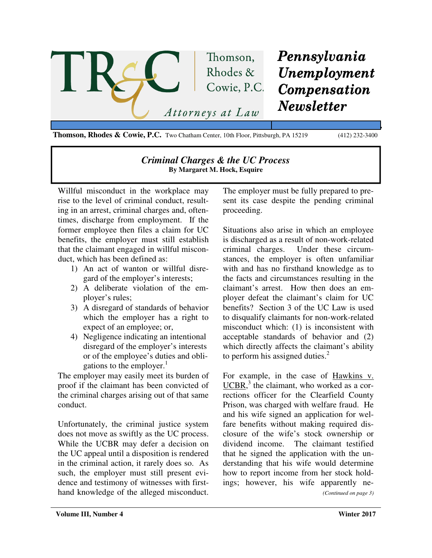

**Thomson, Rhodes & Cowie, P.C.** Two Chatham Center, 10th Floor, Pittsburgh, PA 15219 (412) 232-3400

## *Criminal Charges & the UC Process*  **By Margaret M. Hock, Esquire**

Willful misconduct in the workplace may rise to the level of criminal conduct, resulting in an arrest, criminal charges and, oftentimes, discharge from employment. If the former employee then files a claim for UC benefits, the employer must still establish that the claimant engaged in willful misconduct, which has been defined as:

- 1) An act of wanton or willful disregard of the employer's interests;
- 2) A deliberate violation of the employer's rules;
- 3) A disregard of standards of behavior which the employer has a right to expect of an employee; or,
- 4) Negligence indicating an intentional disregard of the employer's interests or of the employee's duties and obligations to the employer.<sup>1</sup>

The employer may easily meet its burden of proof if the claimant has been convicted of the criminal charges arising out of that same conduct.

Unfortunately, the criminal justice system does not move as swiftly as the UC process. While the UCBR may defer a decision on the UC appeal until a disposition is rendered in the criminal action, it rarely does so. As such, the employer must still present evidence and testimony of witnesses with firsthand knowledge of the alleged misconduct. The employer must be fully prepared to present its case despite the pending criminal proceeding.

Situations also arise in which an employee is discharged as a result of non-work-related criminal charges. Under these circumstances, the employer is often unfamiliar with and has no firsthand knowledge as to the facts and circumstances resulting in the claimant's arrest. How then does an employer defeat the claimant's claim for UC benefits? Section 3 of the UC Law is used to disqualify claimants for non-work-related misconduct which: (1) is inconsistent with acceptable standards of behavior and (2) which directly affects the claimant's ability to perform his assigned duties. $2^2$ 

For example, in the case of Hawkins v. UCBR,<sup>3</sup> the claimant, who worked as a corrections officer for the Clearfield County Prison, was charged with welfare fraud. He and his wife signed an application for welfare benefits without making required disclosure of the wife's stock ownership or dividend income. The claimant testified that he signed the application with the understanding that his wife would determine how to report income from her stock holdings; however, his wife apparently ne-

*(Continued on page 3)*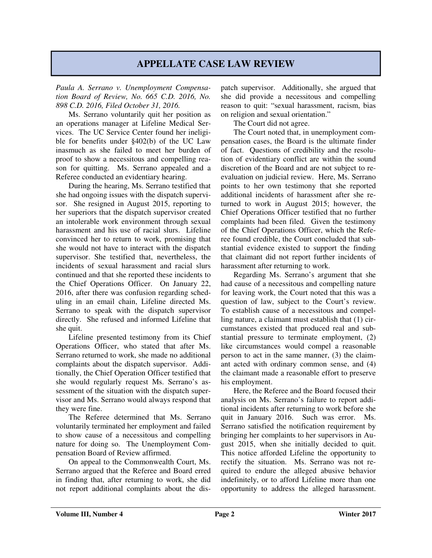## **APPELLATE CASE LAW REVIEW**

*Paula A. Serrano v. Unemployment Compensation Board of Review, No. 665 C.D. 2016, No. 898 C.D. 2016, Filed October 31, 2016.* 

Ms. Serrano voluntarily quit her position as an operations manager at Lifeline Medical Services. The UC Service Center found her ineligible for benefits under §402(b) of the UC Law inasmuch as she failed to meet her burden of proof to show a necessitous and compelling reason for quitting. Ms. Serrano appealed and a Referee conducted an evidentiary hearing.

During the hearing, Ms. Serrano testified that she had ongoing issues with the dispatch supervisor. She resigned in August 2015, reporting to her superiors that the dispatch supervisor created an intolerable work environment through sexual harassment and his use of racial slurs. Lifeline convinced her to return to work, promising that she would not have to interact with the dispatch supervisor. She testified that, nevertheless, the incidents of sexual harassment and racial slurs continued and that she reported these incidents to the Chief Operations Officer. On January 22, 2016, after there was confusion regarding scheduling in an email chain, Lifeline directed Ms. Serrano to speak with the dispatch supervisor directly. She refused and informed Lifeline that she quit.

Lifeline presented testimony from its Chief Operations Officer, who stated that after Ms. Serrano returned to work, she made no additional complaints about the dispatch supervisor. Additionally, the Chief Operation Officer testified that she would regularly request Ms. Serrano's assessment of the situation with the dispatch supervisor and Ms. Serrano would always respond that they were fine.

The Referee determined that Ms. Serrano voluntarily terminated her employment and failed to show cause of a necessitous and compelling nature for doing so. The Unemployment Compensation Board of Review affirmed.

On appeal to the Commonwealth Court, Ms. Serrano argued that the Referee and Board erred in finding that, after returning to work, she did not report additional complaints about the dispatch supervisor. Additionally, she argued that she did provide a necessitous and compelling reason to quit: "sexual harassment, racism, bias on religion and sexual orientation."

The Court did not agree.

The Court noted that, in unemployment compensation cases, the Board is the ultimate finder of fact. Questions of credibility and the resolution of evidentiary conflict are within the sound discretion of the Board and are not subject to reevaluation on judicial review. Here, Ms. Serrano points to her own testimony that she reported additional incidents of harassment after she returned to work in August 2015; however, the Chief Operations Officer testified that no further complaints had been filed. Given the testimony of the Chief Operations Officer, which the Referee found credible, the Court concluded that substantial evidence existed to support the finding that claimant did not report further incidents of harassment after returning to work.

Regarding Ms. Serrano's argument that she had cause of a necessitous and compelling nature for leaving work, the Court noted that this was a question of law, subject to the Court's review. To establish cause of a necessitous and compelling nature, a claimant must establish that (1) circumstances existed that produced real and substantial pressure to terminate employment, (2) like circumstances would compel a reasonable person to act in the same manner, (3) the claimant acted with ordinary common sense, and (4) the claimant made a reasonable effort to preserve his employment.

Here, the Referee and the Board focused their analysis on Ms. Serrano's failure to report additional incidents after returning to work before she quit in January 2016. Such was error. Ms. Serrano satisfied the notification requirement by bringing her complaints to her supervisors in August 2015, when she initially decided to quit. This notice afforded Lifeline the opportunity to rectify the situation. Ms. Serrano was not required to endure the alleged abusive behavior indefinitely, or to afford Lifeline more than one opportunity to address the alleged harassment.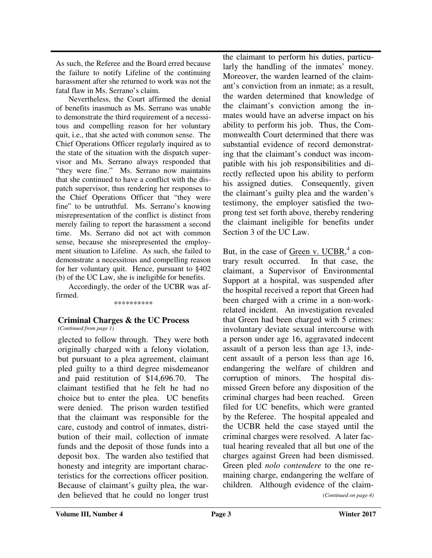As such, the Referee and the Board erred because the failure to notify Lifeline of the continuing harassment after she returned to work was not the fatal flaw in Ms. Serrano's claim.

Nevertheless, the Court affirmed the denial of benefits inasmuch as Ms. Serrano was unable to demonstrate the third requirement of a necessitous and compelling reason for her voluntary quit, i.e., that she acted with common sense. The Chief Operations Officer regularly inquired as to the state of the situation with the dispatch supervisor and Ms. Serrano always responded that "they were fine." Ms. Serrano now maintains that she continued to have a conflict with the dispatch supervisor, thus rendering her responses to the Chief Operations Officer that "they were fine" to be untruthful. Ms. Serrano's knowing misrepresentation of the conflict is distinct from merely failing to report the harassment a second time. Ms. Serrano did not act with common sense, because she misrepresented the employment situation to Lifeline. As such, she failed to demonstrate a necessitous and compelling reason for her voluntary quit. Hence, pursuant to §402 (b) of the UC Law, she is ineligible for benefits.

Accordingly, the order of the UCBR was affirmed.

\*\*\*\*\*\*\*\*\*\*

## **Criminal Charges & the UC Process**

*(Continued from page 1)* 

glected to follow through. They were both originally charged with a felony violation, but pursuant to a plea agreement, claimant pled guilty to a third degree misdemeanor and paid restitution of \$14,696.70. The claimant testified that he felt he had no choice but to enter the plea. UC benefits were denied. The prison warden testified that the claimant was responsible for the care, custody and control of inmates, distribution of their mail, collection of inmate funds and the deposit of those funds into a deposit box. The warden also testified that honesty and integrity are important characteristics for the corrections officer position. Because of claimant's guilty plea, the warden believed that he could no longer trust the claimant to perform his duties, particularly the handling of the inmates' money. Moreover, the warden learned of the claimant's conviction from an inmate; as a result, the warden determined that knowledge of the claimant's conviction among the inmates would have an adverse impact on his ability to perform his job. Thus, the Commonwealth Court determined that there was substantial evidence of record demonstrating that the claimant's conduct was incompatible with his job responsibilities and directly reflected upon his ability to perform his assigned duties. Consequently, given the claimant's guilty plea and the warden's testimony, the employer satisfied the twoprong test set forth above, thereby rendering the claimant ineligible for benefits under Section 3 of the UC Law.

But, in the case of <u>Green v. UCBR</u>,<sup>4</sup> a contrary result occurred. In that case, the claimant, a Supervisor of Environmental Support at a hospital, was suspended after the hospital received a report that Green had been charged with a crime in a non-workrelated incident. An investigation revealed that Green had been charged with 5 crimes: involuntary deviate sexual intercourse with a person under age 16, aggravated indecent assault of a person less than age 13, indecent assault of a person less than age 16, endangering the welfare of children and corruption of minors. The hospital dismissed Green before any disposition of the criminal charges had been reached. Green filed for UC benefits, which were granted by the Referee. The hospital appealed and the UCBR held the case stayed until the criminal charges were resolved. A later factual hearing revealed that all but one of the charges against Green had been dismissed. Green pled *nolo contendere* to the one remaining charge, endangering the welfare of children. Although evidence of the claim-

*(Continued on page 4)*